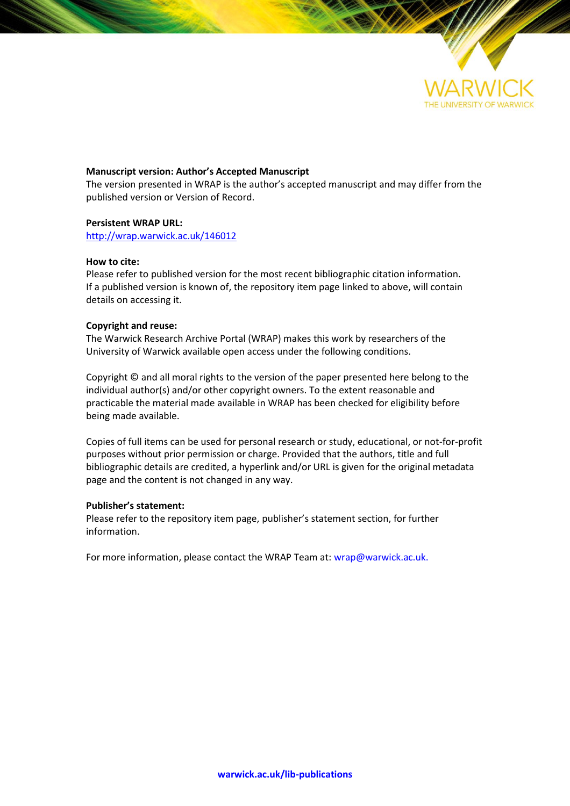

# **Manuscript version: Author's Accepted Manuscript**

The version presented in WRAP is the author's accepted manuscript and may differ from the published version or Version of Record.

## **Persistent WRAP URL:**

<http://wrap.warwick.ac.uk/146012>

## **How to cite:**

Please refer to published version for the most recent bibliographic citation information. If a published version is known of, the repository item page linked to above, will contain details on accessing it.

## **Copyright and reuse:**

The Warwick Research Archive Portal (WRAP) makes this work by researchers of the University of Warwick available open access under the following conditions.

Copyright © and all moral rights to the version of the paper presented here belong to the individual author(s) and/or other copyright owners. To the extent reasonable and practicable the material made available in WRAP has been checked for eligibility before being made available.

Copies of full items can be used for personal research or study, educational, or not-for-profit purposes without prior permission or charge. Provided that the authors, title and full bibliographic details are credited, a hyperlink and/or URL is given for the original metadata page and the content is not changed in any way.

## **Publisher's statement:**

Please refer to the repository item page, publisher's statement section, for further information.

For more information, please contact the WRAP Team at[: wrap@warwick.ac.uk.](mailto:wrap@warwick.ac.uk)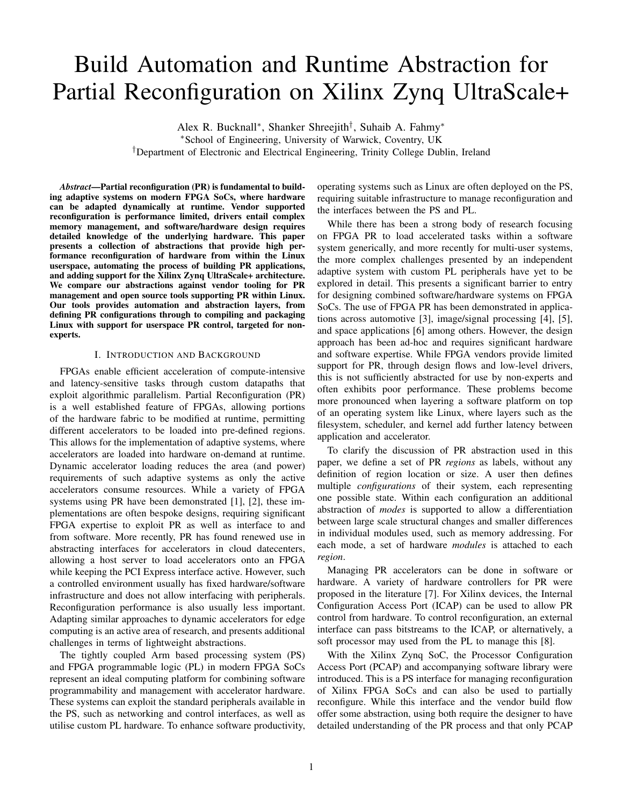# Build Automation and Runtime Abstraction for Partial Reconfiguration on Xilinx Zynq UltraScale+

Alex R. Bucknall<sup>∗</sup> , Shanker Shreejith† , Suhaib A. Fahmy<sup>∗</sup> <sup>∗</sup>School of Engineering, University of Warwick, Coventry, UK

†Department of Electronic and Electrical Engineering, Trinity College Dublin, Ireland

*Abstract*—Partial reconfiguration (PR) is fundamental to building adaptive systems on modern FPGA SoCs, where hardware can be adapted dynamically at runtime. Vendor supported reconfiguration is performance limited, drivers entail complex memory management, and software/hardware design requires detailed knowledge of the underlying hardware. This paper presents a collection of abstractions that provide high performance reconfiguration of hardware from within the Linux userspace, automating the process of building PR applications, and adding support for the Xilinx Zynq UltraScale+ architecture. We compare our abstractions against vendor tooling for PR management and open source tools supporting PR within Linux. Our tools provides automation and abstraction layers, from defining PR configurations through to compiling and packaging Linux with support for userspace PR control, targeted for nonexperts.

## I. INTRODUCTION AND BACKGROUND

FPGAs enable efficient acceleration of compute-intensive and latency-sensitive tasks through custom datapaths that exploit algorithmic parallelism. Partial Reconfiguration (PR) is a well established feature of FPGAs, allowing portions of the hardware fabric to be modified at runtime, permitting different accelerators to be loaded into pre-defined regions. This allows for the implementation of adaptive systems, where accelerators are loaded into hardware on-demand at runtime. Dynamic accelerator loading reduces the area (and power) requirements of such adaptive systems as only the active accelerators consume resources. While a variety of FPGA systems using PR have been demonstrated [1], [2], these implementations are often bespoke designs, requiring significant FPGA expertise to exploit PR as well as interface to and from software. More recently, PR has found renewed use in abstracting interfaces for accelerators in cloud datecenters, allowing a host server to load accelerators onto an FPGA while keeping the PCI Express interface active. However, such a controlled environment usually has fixed hardware/software infrastructure and does not allow interfacing with peripherals. Reconfiguration performance is also usually less important. Adapting similar approaches to dynamic accelerators for edge computing is an active area of research, and presents additional challenges in terms of lightweight abstractions.

The tightly coupled Arm based processing system (PS) and FPGA programmable logic (PL) in modern FPGA SoCs represent an ideal computing platform for combining software programmability and management with accelerator hardware. These systems can exploit the standard peripherals available in the PS, such as networking and control interfaces, as well as utilise custom PL hardware. To enhance software productivity,

operating systems such as Linux are often deployed on the PS, requiring suitable infrastructure to manage reconfiguration and the interfaces between the PS and PL.

While there has been a strong body of research focusing on FPGA PR to load accelerated tasks within a software system generically, and more recently for multi-user systems, the more complex challenges presented by an independent adaptive system with custom PL peripherals have yet to be explored in detail. This presents a significant barrier to entry for designing combined software/hardware systems on FPGA SoCs. The use of FPGA PR has been demonstrated in applications across automotive [3], image/signal processing [4], [5], and space applications [6] among others. However, the design approach has been ad-hoc and requires significant hardware and software expertise. While FPGA vendors provide limited support for PR, through design flows and low-level drivers, this is not sufficiently abstracted for use by non-experts and often exhibits poor performance. These problems become more pronounced when layering a software platform on top of an operating system like Linux, where layers such as the filesystem, scheduler, and kernel add further latency between application and accelerator.

To clarify the discussion of PR abstraction used in this paper, we define a set of PR *regions* as labels, without any definition of region location or size. A user then defines multiple *configurations* of their system, each representing one possible state. Within each configuration an additional abstraction of *modes* is supported to allow a differentiation between large scale structural changes and smaller differences in individual modules used, such as memory addressing. For each mode, a set of hardware *modules* is attached to each *region*.

Managing PR accelerators can be done in software or hardware. A variety of hardware controllers for PR were proposed in the literature [7]. For Xilinx devices, the Internal Configuration Access Port (ICAP) can be used to allow PR control from hardware. To control reconfiguration, an external interface can pass bitstreams to the ICAP, or alternatively, a soft processor may used from the PL to manage this [8].

With the Xilinx Zynq SoC, the Processor Configuration Access Port (PCAP) and accompanying software library were introduced. This is a PS interface for managing reconfiguration of Xilinx FPGA SoCs and can also be used to partially reconfigure. While this interface and the vendor build flow offer some abstraction, using both require the designer to have detailed understanding of the PR process and that only PCAP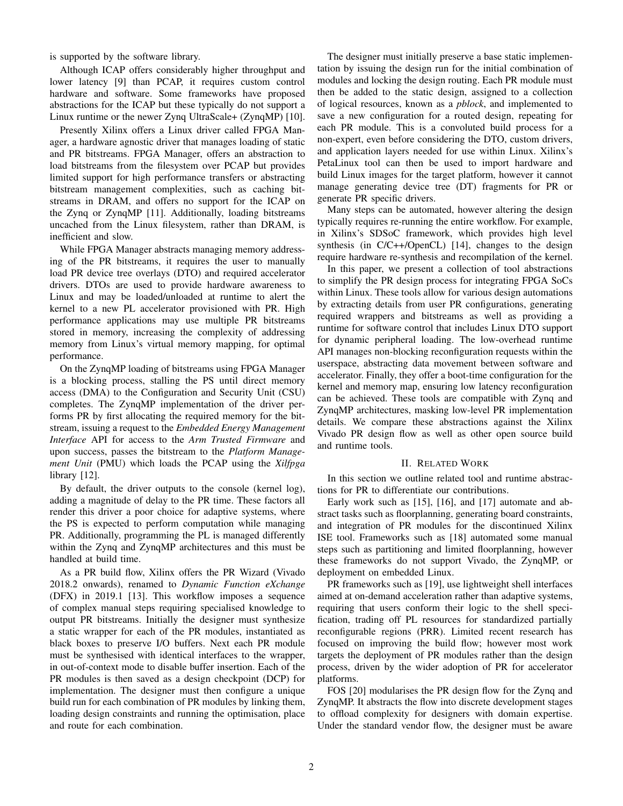is supported by the software library.

Although ICAP offers considerably higher throughput and lower latency [9] than PCAP, it requires custom control hardware and software. Some frameworks have proposed abstractions for the ICAP but these typically do not support a Linux runtime or the newer Zynq UltraScale+ (ZynqMP) [10].

Presently Xilinx offers a Linux driver called FPGA Manager, a hardware agnostic driver that manages loading of static and PR bitstreams. FPGA Manager, offers an abstraction to load bitstreams from the filesystem over PCAP but provides limited support for high performance transfers or abstracting bitstream management complexities, such as caching bitstreams in DRAM, and offers no support for the ICAP on the Zynq or ZynqMP [11]. Additionally, loading bitstreams uncached from the Linux filesystem, rather than DRAM, is inefficient and slow.

While FPGA Manager abstracts managing memory addressing of the PR bitstreams, it requires the user to manually load PR device tree overlays (DTO) and required accelerator drivers. DTOs are used to provide hardware awareness to Linux and may be loaded/unloaded at runtime to alert the kernel to a new PL accelerator provisioned with PR. High performance applications may use multiple PR bitstreams stored in memory, increasing the complexity of addressing memory from Linux's virtual memory mapping, for optimal performance.

On the ZynqMP loading of bitstreams using FPGA Manager is a blocking process, stalling the PS until direct memory access (DMA) to the Configuration and Security Unit (CSU) completes. The ZynqMP implementation of the driver performs PR by first allocating the required memory for the bitstream, issuing a request to the *Embedded Energy Management Interface* API for access to the *Arm Trusted Firmware* and upon success, passes the bitstream to the *Platform Management Unit* (PMU) which loads the PCAP using the *Xilfpga* library [12].

By default, the driver outputs to the console (kernel log), adding a magnitude of delay to the PR time. These factors all render this driver a poor choice for adaptive systems, where the PS is expected to perform computation while managing PR. Additionally, programming the PL is managed differently within the Zynq and ZynqMP architectures and this must be handled at build time.

As a PR build flow, Xilinx offers the PR Wizard (Vivado 2018.2 onwards), renamed to *Dynamic Function eXchange* (DFX) in 2019.1 [13]. This workflow imposes a sequence of complex manual steps requiring specialised knowledge to output PR bitstreams. Initially the designer must synthesize a static wrapper for each of the PR modules, instantiated as black boxes to preserve I/O buffers. Next each PR module must be synthesised with identical interfaces to the wrapper, in out-of-context mode to disable buffer insertion. Each of the PR modules is then saved as a design checkpoint (DCP) for implementation. The designer must then configure a unique build run for each combination of PR modules by linking them, loading design constraints and running the optimisation, place and route for each combination.

The designer must initially preserve a base static implementation by issuing the design run for the initial combination of modules and locking the design routing. Each PR module must then be added to the static design, assigned to a collection of logical resources, known as a *pblock*, and implemented to save a new configuration for a routed design, repeating for each PR module. This is a convoluted build process for a non-expert, even before considering the DTO, custom drivers, and application layers needed for use within Linux. Xilinx's PetaLinux tool can then be used to import hardware and build Linux images for the target platform, however it cannot manage generating device tree (DT) fragments for PR or generate PR specific drivers.

Many steps can be automated, however altering the design typically requires re-running the entire workflow. For example, in Xilinx's SDSoC framework, which provides high level synthesis (in C/C++/OpenCL) [14], changes to the design require hardware re-synthesis and recompilation of the kernel.

In this paper, we present a collection of tool abstractions to simplify the PR design process for integrating FPGA SoCs within Linux. These tools allow for various design automations by extracting details from user PR configurations, generating required wrappers and bitstreams as well as providing a runtime for software control that includes Linux DTO support for dynamic peripheral loading. The low-overhead runtime API manages non-blocking reconfiguration requests within the userspace, abstracting data movement between software and accelerator. Finally, they offer a boot-time configuration for the kernel and memory map, ensuring low latency reconfiguration can be achieved. These tools are compatible with Zynq and ZynqMP architectures, masking low-level PR implementation details. We compare these abstractions against the Xilinx Vivado PR design flow as well as other open source build and runtime tools.

#### II. RELATED WORK

In this section we outline related tool and runtime abstractions for PR to differentiate our contributions.

Early work such as [15], [16], and [17] automate and abstract tasks such as floorplanning, generating board constraints, and integration of PR modules for the discontinued Xilinx ISE tool. Frameworks such as [18] automated some manual steps such as partitioning and limited floorplanning, however these frameworks do not support Vivado, the ZynqMP, or deployment on embedded Linux.

PR frameworks such as [19], use lightweight shell interfaces aimed at on-demand acceleration rather than adaptive systems, requiring that users conform their logic to the shell specification, trading off PL resources for standardized partially reconfigurable regions (PRR). Limited recent research has focused on improving the build flow; however most work targets the deployment of PR modules rather than the design process, driven by the wider adoption of PR for accelerator platforms.

FOS [20] modularises the PR design flow for the Zynq and ZynqMP. It abstracts the flow into discrete development stages to offload complexity for designers with domain expertise. Under the standard vendor flow, the designer must be aware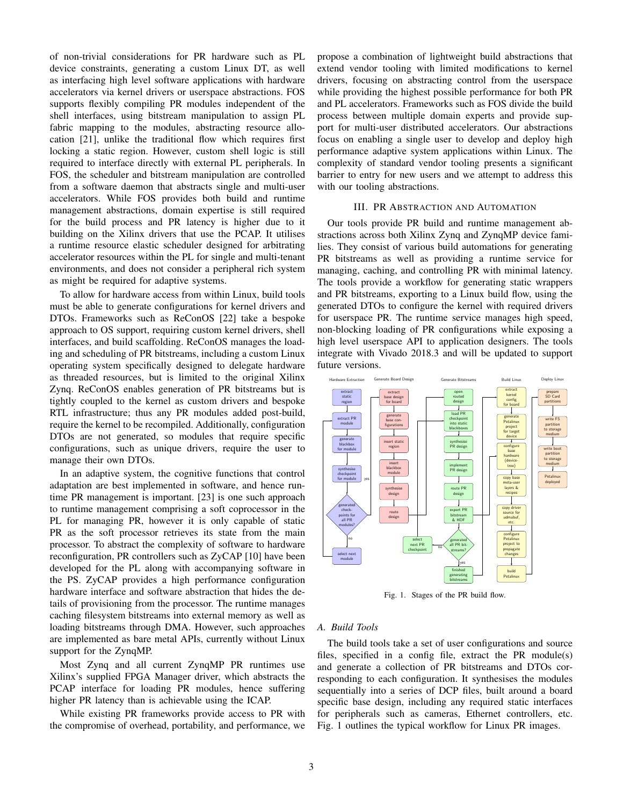of non-trivial considerations for PR hardware such as PL device constraints, generating a custom Linux DT, as well as interfacing high level software applications with hardware accelerators via kernel drivers or userspace abstractions. FOS supports flexibly compiling PR modules independent of the shell interfaces, using bitstream manipulation to assign PL fabric mapping to the modules, abstracting resource allocation [21], unlike the traditional flow which requires first locking a static region. However, custom shell logic is still required to interface directly with external PL peripherals. In FOS, the scheduler and bitstream manipulation are controlled from a software daemon that abstracts single and multi-user accelerators. While FOS provides both build and runtime management abstractions, domain expertise is still required for the build process and PR latency is higher due to it building on the Xilinx drivers that use the PCAP. It utilises a runtime resource elastic scheduler designed for arbitrating accelerator resources within the PL for single and multi-tenant environments, and does not consider a peripheral rich system as might be required for adaptive systems.

To allow for hardware access from within Linux, build tools must be able to generate configurations for kernel drivers and DTOs. Frameworks such as ReConOS [22] take a bespoke approach to OS support, requiring custom kernel drivers, shell interfaces, and build scaffolding. ReConOS manages the loading and scheduling of PR bitstreams, including a custom Linux operating system specifically designed to delegate hardware as threaded resources, but is limited to the original Xilinx Zynq. ReConOS enables generation of PR bitstreams but is tightly coupled to the kernel as custom drivers and bespoke RTL infrastructure; thus any PR modules added post-build, require the kernel to be recompiled. Additionally, configuration DTOs are not generated, so modules that require specific configurations, such as unique drivers, require the user to manage their own DTOs.

In an adaptive system, the cognitive functions that control adaptation are best implemented in software, and hence runtime PR management is important. [23] is one such approach to runtime management comprising a soft coprocessor in the PL for managing PR, however it is only capable of static PR as the soft processor retrieves its state from the main processor. To abstract the complexity of software to hardware reconfiguration, PR controllers such as ZyCAP [10] have been developed for the PL along with accompanying software in the PS. ZyCAP provides a high performance configuration hardware interface and software abstraction that hides the details of provisioning from the processor. The runtime manages caching filesystem bitstreams into external memory as well as loading bitstreams through DMA. However, such approaches are implemented as bare metal APIs, currently without Linux support for the ZynqMP.

Most Zynq and all current ZynqMP PR runtimes use Xilinx's supplied FPGA Manager driver, which abstracts the PCAP interface for loading PR modules, hence suffering higher PR latency than is achievable using the ICAP.

While existing PR frameworks provide access to PR with the compromise of overhead, portability, and performance, we propose a combination of lightweight build abstractions that extend vendor tooling with limited modifications to kernel drivers, focusing on abstracting control from the userspace while providing the highest possible performance for both PR and PL accelerators. Frameworks such as FOS divide the build process between multiple domain experts and provide support for multi-user distributed accelerators. Our abstractions focus on enabling a single user to develop and deploy high performance adaptive system applications within Linux. The complexity of standard vendor tooling presents a significant barrier to entry for new users and we attempt to address this with our tooling abstractions.

#### III. PR ABSTRACTION AND AUTOMATION

Our tools provide PR build and runtime management abstractions across both Xilinx Zynq and ZynqMP device families. They consist of various build automations for generating PR bitstreams as well as providing a runtime service for managing, caching, and controlling PR with minimal latency. The tools provide a workflow for generating static wrappers and PR bitstreams, exporting to a Linux build flow, using the generated DTOs to configure the kernel with required drivers for userspace PR. The runtime service manages high speed, non-blocking loading of PR configurations while exposing a high level userspace API to application designers. The tools integrate with Vivado 2018.3 and will be updated to support future versions.



Fig. 1. Stages of the PR build flow.

## *A. Build Tools*

The build tools take a set of user configurations and source files, specified in a config file, extract the PR module(s) and generate a collection of PR bitstreams and DTOs corresponding to each configuration. It synthesises the modules sequentially into a series of DCP files, built around a board specific base design, including any required static interfaces for peripherals such as cameras, Ethernet controllers, etc. Fig. 1 outlines the typical workflow for Linux PR images.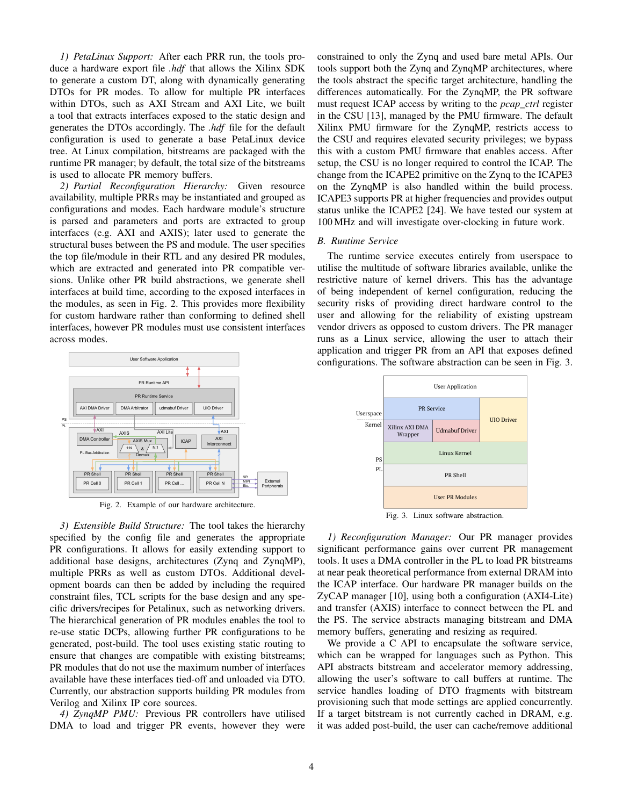*1) PetaLinux Support:* After each PRR run, the tools produce a hardware export file *.hdf* that allows the Xilinx SDK to generate a custom DT, along with dynamically generating DTOs for PR modes. To allow for multiple PR interfaces within DTOs, such as AXI Stream and AXI Lite, we built a tool that extracts interfaces exposed to the static design and generates the DTOs accordingly. The *.hdf* file for the default configuration is used to generate a base PetaLinux device tree. At Linux compilation, bitstreams are packaged with the runtime PR manager; by default, the total size of the bitstreams is used to allocate PR memory buffers.

*2) Partial Reconfiguration Hierarchy:* Given resource availability, multiple PRRs may be instantiated and grouped as configurations and modes. Each hardware module's structure is parsed and parameters and ports are extracted to group interfaces (e.g. AXI and AXIS); later used to generate the structural buses between the PS and module. The user specifies the top file/module in their RTL and any desired PR modules, which are extracted and generated into PR compatible versions. Unlike other PR build abstractions, we generate shell interfaces at build time, according to the exposed interfaces in the modules, as seen in Fig. 2. This provides more flexibility for custom hardware rather than conforming to defined shell interfaces, however PR modules must use consistent interfaces across modes.



Fig. 2. Example of our hardware architecture.

*3) Extensible Build Structure:* The tool takes the hierarchy specified by the config file and generates the appropriate PR configurations. It allows for easily extending support to additional base designs, architectures (Zynq and ZynqMP), multiple PRRs as well as custom DTOs. Additional development boards can then be added by including the required constraint files, TCL scripts for the base design and any specific drivers/recipes for Petalinux, such as networking drivers. The hierarchical generation of PR modules enables the tool to re-use static DCPs, allowing further PR configurations to be generated, post-build. The tool uses existing static routing to ensure that changes are compatible with existing bitstreams; PR modules that do not use the maximum number of interfaces available have these interfaces tied-off and unloaded via DTO. Currently, our abstraction supports building PR modules from Verilog and Xilinx IP core sources.

*4) ZynqMP PMU:* Previous PR controllers have utilised DMA to load and trigger PR events, however they were constrained to only the Zynq and used bare metal APIs. Our tools support both the Zynq and ZynqMP architectures, where the tools abstract the specific target architecture, handling the differences automatically. For the ZynqMP, the PR software must request ICAP access by writing to the *pcap\_ctrl* register in the CSU [13], managed by the PMU firmware. The default Xilinx PMU firmware for the ZynqMP, restricts access to the CSU and requires elevated security privileges; we bypass this with a custom PMU firmware that enables access. After setup, the CSU is no longer required to control the ICAP. The change from the ICAPE2 primitive on the Zynq to the ICAPE3 on the ZynqMP is also handled within the build process. ICAPE3 supports PR at higher frequencies and provides output status unlike the ICAPE2 [24]. We have tested our system at 100 MHz and will investigate over-clocking in future work.

#### *B. Runtime Service*

The runtime service executes entirely from userspace to utilise the multitude of software libraries available, unlike the restrictive nature of kernel drivers. This has the advantage of being independent of kernel configuration, reducing the security risks of providing direct hardware control to the user and allowing for the reliability of existing upstream vendor drivers as opposed to custom drivers. The PR manager runs as a Linux service, allowing the user to attach their application and trigger PR from an API that exposes defined configurations. The software abstraction can be seen in Fig. 3.



Fig. 3. Linux software abstraction.

*1) Reconfiguration Manager:* Our PR manager provides significant performance gains over current PR management tools. It uses a DMA controller in the PL to load PR bitstreams at near peak theoretical performance from external DRAM into the ICAP interface. Our hardware PR manager builds on the ZyCAP manager [10], using both a configuration (AXI4-Lite) and transfer (AXIS) interface to connect between the PL and the PS. The service abstracts managing bitstream and DMA memory buffers, generating and resizing as required.

We provide a C API to encapsulate the software service, which can be wrapped for languages such as Python. This API abstracts bitstream and accelerator memory addressing, allowing the user's software to call buffers at runtime. The service handles loading of DTO fragments with bitstream provisioning such that mode settings are applied concurrently. If a target bitstream is not currently cached in DRAM, e.g. it was added post-build, the user can cache/remove additional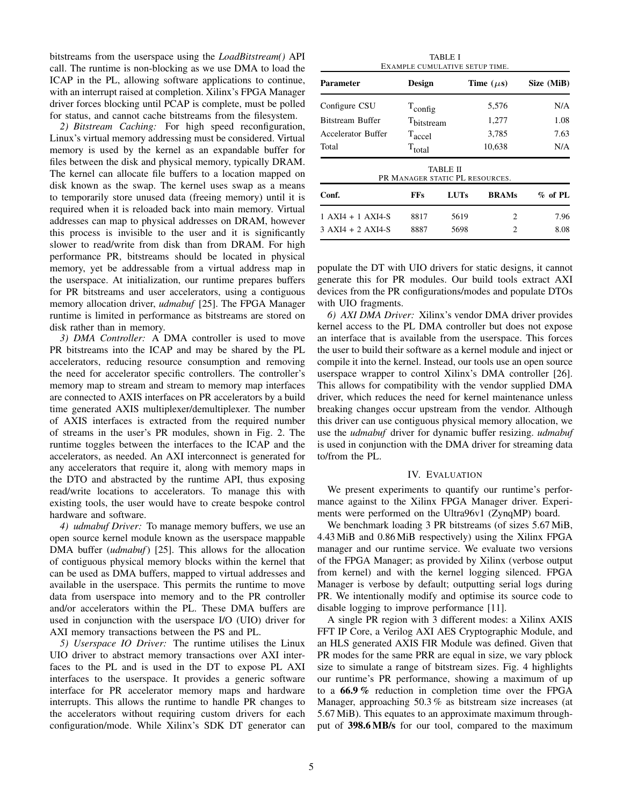bitstreams from the userspace using the *LoadBitstream()* API call. The runtime is non-blocking as we use DMA to load the ICAP in the PL, allowing software applications to continue, with an interrupt raised at completion. Xilinx's FPGA Manager driver forces blocking until PCAP is complete, must be polled for status, and cannot cache bitstreams from the filesystem.

*2) Bitstream Caching:* For high speed reconfiguration, Linux's virtual memory addressing must be considered. Virtual memory is used by the kernel as an expandable buffer for files between the disk and physical memory, typically DRAM. The kernel can allocate file buffers to a location mapped on disk known as the swap. The kernel uses swap as a means to temporarily store unused data (freeing memory) until it is required when it is reloaded back into main memory. Virtual addresses can map to physical addresses on DRAM, however this process is invisible to the user and it is significantly slower to read/write from disk than from DRAM. For high performance PR, bitstreams should be located in physical memory, yet be addressable from a virtual address map in the userspace. At initialization, our runtime prepares buffers for PR bitstreams and user accelerators, using a contiguous memory allocation driver, *udmabuf* [25]. The FPGA Manager runtime is limited in performance as bitstreams are stored on disk rather than in memory.

*3) DMA Controller:* A DMA controller is used to move PR bitstreams into the ICAP and may be shared by the PL accelerators, reducing resource consumption and removing the need for accelerator specific controllers. The controller's memory map to stream and stream to memory map interfaces are connected to AXIS interfaces on PR accelerators by a build time generated AXIS multiplexer/demultiplexer. The number of AXIS interfaces is extracted from the required number of streams in the user's PR modules, shown in Fig. 2. The runtime toggles between the interfaces to the ICAP and the accelerators, as needed. An AXI interconnect is generated for any accelerators that require it, along with memory maps in the DTO and abstracted by the runtime API, thus exposing read/write locations to accelerators. To manage this with existing tools, the user would have to create bespoke control hardware and software.

*4) udmabuf Driver:* To manage memory buffers, we use an open source kernel module known as the userspace mappable DMA buffer (*udmabuf*) [25]. This allows for the allocation of contiguous physical memory blocks within the kernel that can be used as DMA buffers, mapped to virtual addresses and available in the userspace. This permits the runtime to move data from userspace into memory and to the PR controller and/or accelerators within the PL. These DMA buffers are used in conjunction with the userspace I/O (UIO) driver for AXI memory transactions between the PS and PL.

*5) Userspace IO Driver:* The runtime utilises the Linux UIO driver to abstract memory transactions over AXI interfaces to the PL and is used in the DT to expose PL AXI interfaces to the userspace. It provides a generic software interface for PR accelerator memory maps and hardware interrupts. This allows the runtime to handle PR changes to the accelerators without requiring custom drivers for each configuration/mode. While Xilinx's SDK DT generator can

| TABLE I<br>EXAMPLE CUMULATIVE SETUP TIME. |                                 |             |                |            |
|-------------------------------------------|---------------------------------|-------------|----------------|------------|
| <b>Parameter</b>                          | Design                          |             | Time $(\mu s)$ | Size (MiB) |
| Configure CSU                             | $T_{\text{config}}$             |             | 5,576          | N/A        |
| <b>Bitstream Buffer</b>                   | T <sub>bitstream</sub>          |             | 1,277          | 1.08       |
| Accelerator Buffer                        | T <sub>accel</sub>              |             | 3,785          | 7.63       |
| Total                                     | $T_{total}$                     |             | 10,638         | N/A        |
|                                           | PR MANAGER STATIC PL RESOURCES. | TABLE II    |                |            |
| Conf.                                     | <b>FFs</b>                      | <b>LUTs</b> | <b>BRAMs</b>   | $%$ of PL  |
| 1 AXI4 + 1 AXI4-S                         | 8817                            | 5619        | 2              | 7.96       |
| $3 A X I4 + 2 A X I4-S$                   | 8887                            | 5698        | 2              | 8.08       |

populate the DT with UIO drivers for static designs, it cannot generate this for PR modules. Our build tools extract AXI devices from the PR configurations/modes and populate DTOs with UIO fragments.

*6) AXI DMA Driver:* Xilinx's vendor DMA driver provides kernel access to the PL DMA controller but does not expose an interface that is available from the userspace. This forces the user to build their software as a kernel module and inject or compile it into the kernel. Instead, our tools use an open source userspace wrapper to control Xilinx's DMA controller [26]. This allows for compatibility with the vendor supplied DMA driver, which reduces the need for kernel maintenance unless breaking changes occur upstream from the vendor. Although this driver can use contiguous physical memory allocation, we use the *udmabuf* driver for dynamic buffer resizing. *udmabuf* is used in conjunction with the DMA driver for streaming data to/from the PL.

#### IV. EVALUATION

We present experiments to quantify our runtime's performance against to the Xilinx FPGA Manager driver. Experiments were performed on the Ultra96v1 (ZynqMP) board.

We benchmark loading 3 PR bitstreams (of sizes 5.67 MiB, 4.43 MiB and 0.86 MiB respectively) using the Xilinx FPGA manager and our runtime service. We evaluate two versions of the FPGA Manager; as provided by Xilinx (verbose output from kernel) and with the kernel logging silenced. FPGA Manager is verbose by default; outputting serial logs during PR. We intentionally modify and optimise its source code to disable logging to improve performance [11].

A single PR region with 3 different modes: a Xilinx AXIS FFT IP Core, a Verilog AXI AES Cryptographic Module, and an HLS generated AXIS FIR Module was defined. Given that PR modes for the same PRR are equal in size, we vary pblock size to simulate a range of bitstream sizes. Fig. 4 highlights our runtime's PR performance, showing a maximum of up to a 66.9 % reduction in completion time over the FPGA Manager, approaching 50.3 % as bitstream size increases (at 5.67 MiB). This equates to an approximate maximum throughput of 398.6 MB/s for our tool, compared to the maximum